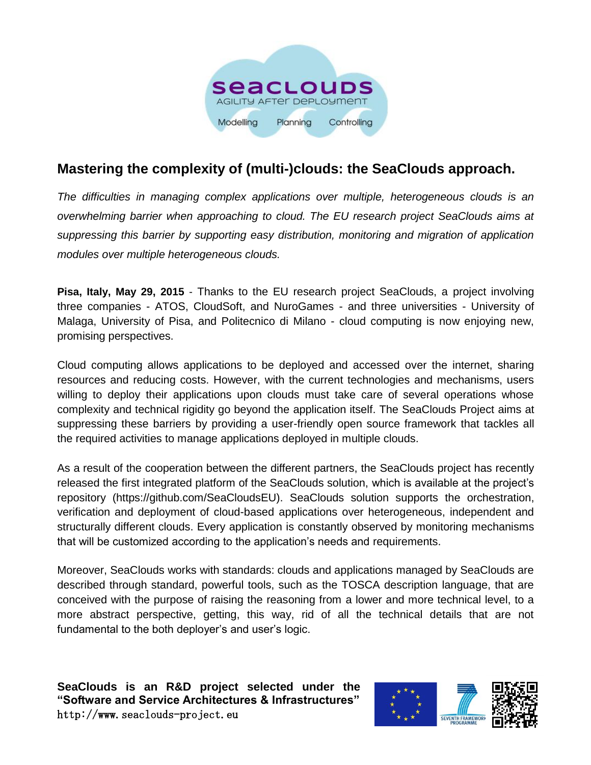

## **Mastering the complexity of (multi-)clouds: the SeaClouds approach.**

*The difficulties in managing complex applications over multiple, heterogeneous clouds is an overwhelming barrier when approaching to cloud. The EU research project SeaClouds aims at suppressing this barrier by supporting easy distribution, monitoring and migration of application modules over multiple heterogeneous clouds.*

**Pisa, Italy, May 29, 2015** - Thanks to the EU research project SeaClouds, a project involving three companies - ATOS, CloudSoft, and NuroGames - and three universities - University of Malaga, University of Pisa, and Politecnico di Milano - cloud computing is now enjoying new, promising perspectives.

Cloud computing allows applications to be deployed and accessed over the internet, sharing resources and reducing costs. However, with the current technologies and mechanisms, users willing to deploy their applications upon clouds must take care of several operations whose complexity and technical rigidity go beyond the application itself. The SeaClouds Project aims at suppressing these barriers by providing a user-friendly open source framework that tackles all the required activities to manage applications deployed in multiple clouds.

As a result of the cooperation between the different partners, the SeaClouds project has recently released the first integrated platform of the SeaClouds solution, which is available at the project's repository (https://github.com/SeaCloudsEU). SeaClouds solution supports the orchestration, verification and deployment of cloud-based applications over heterogeneous, independent and structurally different clouds. Every application is constantly observed by monitoring mechanisms that will be customized according to the application's needs and requirements.

Moreover, SeaClouds works with standards: clouds and applications managed by SeaClouds are described through standard, powerful tools, such as the TOSCA description language, that are conceived with the purpose of raising the reasoning from a lower and more technical level, to a more abstract perspective, getting, this way, rid of all the technical details that are not fundamental to the both deployer's and user's logic.

**SeaClouds is an R&D project selected under the "Software and Service Architectures & Infrastructures"** http://www.seaclouds-project.eu